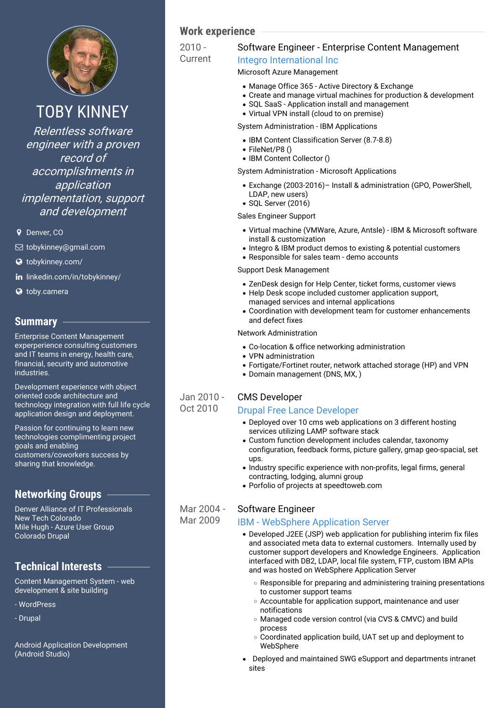

# TOBY KINNEY

Relentless software engineer with <sup>a</sup> proven record of accomplishments in application implementation, support and development

**9** Denver, CO

- [tobykinney@gmail.com](mailto:tobykinney@gmail.com)
- [tobykinney.com/](http://tobykinney.com/)
- in [linkedin.com/in/tobykinney/](https://www.linkedin.com/in/tobykinney/)
- **3** [toby.camera](http://toby.camera)

## **Summary**

Enterprise Content Management experperience consulting customers and IT teams in energy, health care, financial, security and automotive industries.

Development experience with object oriented code architecture and technology integration with full life cycle application design and deployment.

Passion for continuing to learn new technologies complimenting project goals and enabling customers/coworkers success by sharing that knowledge.

## **Networking Groups**

Denver Alliance of IT Professionals New Tech Colorado Mile Hugh - Azure User Group Colorado Drupal

## **Technical Interests**

Content Management System - web development & site building

- WordPress
- Drupal

Android Application Development (Android Studio)

## **Work experience**

 $2010 -$ Current

## Software Engineer - Enterprise Content Management

## Integro [International](https://www.integro.com/) Inc

## Microsoft Azure Management

- Manage Office 365 Active Directory & Exchange
- Create and manage virtual machines for production & development
- SQL SaaS Application install and management
- Virtual VPN install (cloud to on premise)

### System Administration - IBM Applications

- IBM Content Classification Server (8.7-8.8)
- FileNet/P8 ()
- IBM Content Collector ()

System Administration - Microsoft Applications

- Exchange (2003-2016)– Install & administration (GPO, PowerShell, LDAP, new users)
- SQL Server (2016)

Sales Engineer Support

- Virtual machine (VMWare, Azure, Antsle) IBM & Microsoft software install & customization
- Integro & IBM product demos to existing & potential customers
- Responsible for sales team demo accounts

### Support Desk Management

- ZenDesk design for Help Center, ticket forms, customer views
- Help Desk scope included customer application support, managed services and internal applications
- Coordination with development team for customer enhancements and defect fixes

Network Administration

- Co-location & office networking administration
- VPN administration
- Fortigate/Fortinet router, network attached storage (HP) and VPN
- Domain management (DNS, MX, )

### Jan 2010 - Oct 2010

## CMS Developer

## Drupal Free Lance [Developer](http://speedtoweb.com/)

- Deployed over 10 cms web applications on 3 different hosting services utilizing LAMP software stack
- Custom function development includes calendar, taxonomy configuration, feedback forms, picture gallery, gmap geo-spacial, set ups.
- Industry specific experience with non-profits, legal firms, general contracting, lodging, alumni group
- Porfolio of projects at speedtoweb.com

#### Mar 2004 - Software Engineer

## IBM - [WebSphere](http://www.ibm.com/software/websphere/support/) Application Server

- Developed J2EE (JSP) web application for publishing interim fix files and associated meta data to external customers. Internally used by customer support developers and Knowledge Engineers. Application interfaced with DB2, LDAP, local file system, FTP, custom IBM APIs and was hosted on WebSphere Application Server
	- Responsible for preparing and administering training presentations to customer support teams
	- Accountable for application support, maintenance and user notifications
	- Managed code version control (via CVS & CMVC) and build process
	- Coordinated application build, UAT set up and deployment to **WebSphere**
- Deployed and maintained SWG eSupport and departments intranet  $\bullet$ sites

Mar 2009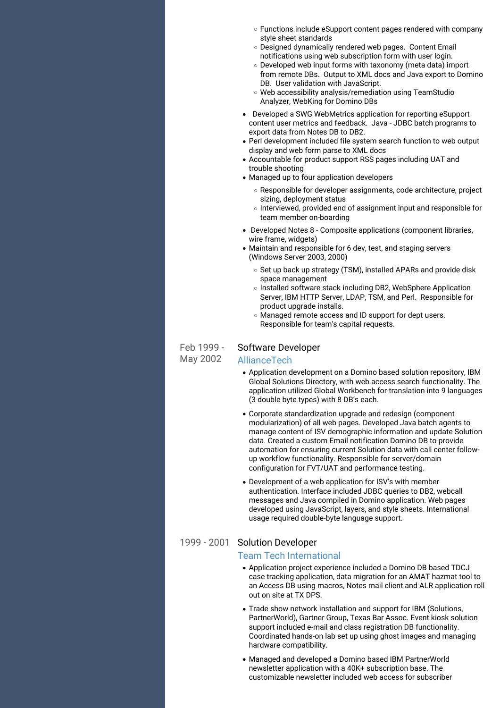- Functions include eSupport content pages rendered with company style sheet standards
- Designed dynamically rendered web pages. Content Email notifications using web subscription form with user login.
- Developed web input forms with taxonomy (meta data) import from remote DBs. Output to XML docs and Java export to Domino DB. User validation with JavaScript.
- Web accessibility analysis/remediation using TeamStudio Analyzer, WebKing for Domino DBs
- Developed a SWG WebMetrics application for reporting eSupport content user metrics and feedback. Java - JDBC batch programs to export data from Notes DB to DB2.
- Perl development included file system search function to web output display and web form parse to XML docs
- Accountable for product support RSS pages including UAT and trouble shooting
- Managed up to four application developers
	- Responsible for developer assignments, code architecture, project sizing, deployment status
	- $\circ$  Interviewed, provided end of assignment input and responsible for team member on-boarding
- Developed Notes 8 Composite applications (component libraries, wire frame, widgets)
- Maintain and responsible for 6 dev, test, and staging servers (Windows Server 2003, 2000)
	- Set up back up strategy (TSM), installed APARs and provide disk space management
	- o Installed software stack including DB2, WebSphere Application Server, IBM HTTP Server, LDAP, TSM, and Perl. Responsible for product upgrade installs.
	- Managed remote access and ID support for dept users. Responsible for team's capital requests.

#### Feb 1999 - Software Developer

May 2002

## [AllianceTech](http://www.alliancetech.com/)

- Application development on a Domino based solution repository, IBM Global Solutions Directory, with web access search functionality. The application utilized Global Workbench for translation into 9 languages (3 double byte types) with 8 DB's each.
- Corporate standardization upgrade and redesign (component modularization) of all web pages. Developed Java batch agents to manage content of ISV demographic information and update Solution data. Created a custom Email notification Domino DB to provide automation for ensuring current Solution data with call center follow up workflow functionality. Responsible for server/domain configuration for FVT/UAT and performance testing.
- Development of a web application for ISV's with member authentication. Interface included JDBC queries to DB2, webcall messages and Java compiled in Domino application. Web pages developed using JavaScript, layers, and style sheets. International usage required double-byte language support.

## 1999 - 2001 Solution Developer

## Team Tech [International](http://www.alliancetech.com/)

- Application project experience included a Domino DB based TDCJ case tracking application, data migration for an AMAT hazmat tool to an Access DB using macros, Notes mail client and ALR application roll out on site at TX DPS.
- Trade show network installation and support for IBM (Solutions, PartnerWorld), Gartner Group, Texas Bar Assoc. Event kiosk solution support included e-mail and class registration DB functionality. Coordinated hands-on lab set up using ghost images and managing hardware compatibility.
- Managed and developed a Domino based IBM PartnerWorld newsletter application with a 40K+ subscription base. The customizable newsletter included web access for subscriber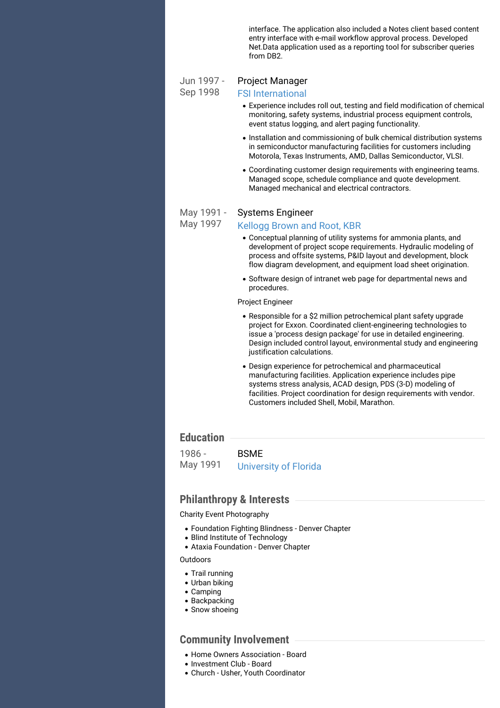interface. The application also included a Notes client based content entry interface with e-mail workflow approval process. Developed Net.Data application used as a reporting tool for subscriber queries from DB2.

#### Jun 1997 - Sep 1998 Project Manager

### FSI [International](http://www.fsi-intl.com/)

- Experience includes roll out, testing and field modification of chemical monitoring, safety systems, industrial process equipment controls, event status logging, and alert paging functionality.
- Installation and commissioning of bulk chemical distribution systems in semiconductor manufacturing facilities for customers including Motorola, Texas Instruments, AMD, Dallas Semiconductor, VLSI.
- Coordinating customer design requirements with engineering teams. Managed scope, schedule compliance and quote development. Managed mechanical and electrical contractors.

#### May 1991 - Systems Engineer

[Kellogg](http://www.kbr.com/Services/Engineering/) Brown and Root, KBR

### May 1997

- Conceptual planning of utility systems for ammonia plants, and development of project scope requirements. Hydraulic modeling of process and offsite systems, P&ID layout and development, block flow diagram development, and equipment load sheet origination.
- Software design of intranet web page for departmental news and procedures.

Project Engineer

- Responsible for a \$2 million petrochemical plant safety upgrade project for Exxon. Coordinated client-engineering technologies to issue a 'process design package' for use in detailed engineering. Design included control layout, environmental study and engineering justification calculations.
- Design experience for petrochemical and pharmaceutical manufacturing facilities. Application experience includes pipe systems stress analysis, ACAD design, PDS (3-D) modeling of facilities. Project coordination for design requirements with vendor. Customers included Shell, Mobil, Marathon.

## **Education**

1986 - May 1991 BSME [University](http://www.ufl.edu/) of Florida

## **Philanthropy & Interests**

### Charity Event Photography

- Foundation Fighting Blindness Denver Chapter
- Blind Institute of Technology
- Ataxia Foundation Denver Chapter

### **Outdoors**

- Trail running
- Urban biking
- Camping
- Backpacking
- Snow shoeing

## **Community Involvement**

- Home Owners Association Board
- Investment Club Board
- Church Usher, Youth Coordinator